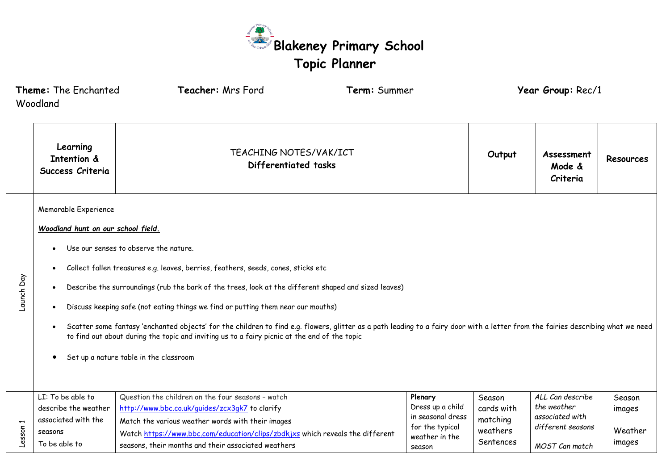

|                                                                                                                                                                                                                                                                                                                                                                                                                                                                                                                                                                                                                                                                                                                                  | Theme: The Enchanted<br>Woodland                                                             | Teacher: Mrs Ford                                                                                                                                                                                                                                                                                | Term: Summer |                                                                                                 |                                                           | Year Group: Rec/1                                                                         |                                       |
|----------------------------------------------------------------------------------------------------------------------------------------------------------------------------------------------------------------------------------------------------------------------------------------------------------------------------------------------------------------------------------------------------------------------------------------------------------------------------------------------------------------------------------------------------------------------------------------------------------------------------------------------------------------------------------------------------------------------------------|----------------------------------------------------------------------------------------------|--------------------------------------------------------------------------------------------------------------------------------------------------------------------------------------------------------------------------------------------------------------------------------------------------|--------------|-------------------------------------------------------------------------------------------------|-----------------------------------------------------------|-------------------------------------------------------------------------------------------|---------------------------------------|
|                                                                                                                                                                                                                                                                                                                                                                                                                                                                                                                                                                                                                                                                                                                                  | Learning<br><b>Intention &amp;</b><br>Success Criteria                                       | <b>TEACHING NOTES/VAK/ICT</b><br>Differentiated tasks                                                                                                                                                                                                                                            |              |                                                                                                 | Output                                                    | Assessment<br>Mode &<br>Criteria                                                          | <b>Resources</b>                      |
| Memorable Experience<br>Woodland hunt on our school field.<br>Use our senses to observe the nature.<br>Collect fallen treasures e.g. leaves, berries, feathers, seeds, cones, sticks etc<br>Launch Day<br>Describe the surroundings (rub the bark of the trees, look at the different shaped and sized leaves)<br>Discuss keeping safe (not eating things we find or putting them near our mouths)<br>Scatter some fantasy 'enchanted objects' for the children to find e.g. flowers, glitter as a path leading to a fairy door with a letter from the fairies describing what we need<br>to find out about during the topic and inviting us to a fairy picnic at the end of the topic<br>Set up a nature table in the classroom |                                                                                              |                                                                                                                                                                                                                                                                                                  |              |                                                                                                 |                                                           |                                                                                           |                                       |
| esson 1                                                                                                                                                                                                                                                                                                                                                                                                                                                                                                                                                                                                                                                                                                                          | LI: To be able to<br>describe the weather<br>associated with the<br>seasons<br>To be able to | Question the children on the four seasons - watch<br>http://www.bbc.co.uk/quides/zcx3qk7 to clarify<br>Match the various weather words with their images<br>Watch https://www.bbc.com/education/clips/zbdkjxs which reveals the different<br>seasons, their months and their associated weathers |              | Plenary<br>Dress up a child<br>in seasonal dress<br>for the typical<br>weather in the<br>season | Season<br>cards with<br>matching<br>weathers<br>Sentences | ALL Can describe<br>the weather<br>associated with<br>different seasons<br>MOST Can match | Season<br>images<br>Weather<br>images |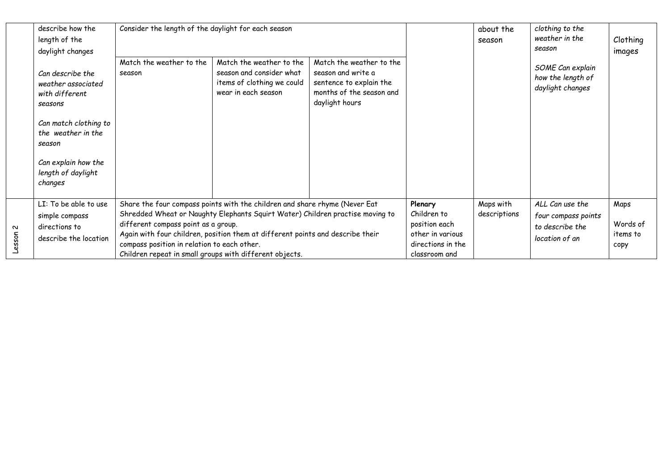|                  | describe how the<br>length of the<br>daylight changes<br>Can describe the<br>weather associated<br>with different<br>seasons<br>Can match clothing to | Consider the length of the daylight for each season<br>Match the weather to the                                                               | Match the weather to the                                                                                                                                                                                                                      | Match the weather to the                                                                    |                                                                                                   | about the<br>season       | clothing to the<br>weather in the<br>season                                 | Clothing<br>images                   |
|------------------|-------------------------------------------------------------------------------------------------------------------------------------------------------|-----------------------------------------------------------------------------------------------------------------------------------------------|-----------------------------------------------------------------------------------------------------------------------------------------------------------------------------------------------------------------------------------------------|---------------------------------------------------------------------------------------------|---------------------------------------------------------------------------------------------------|---------------------------|-----------------------------------------------------------------------------|--------------------------------------|
|                  |                                                                                                                                                       | season                                                                                                                                        | season and consider what<br>items of clothing we could<br>wear in each season                                                                                                                                                                 | season and write a<br>sentence to explain the<br>months of the season and<br>daylight hours |                                                                                                   |                           | SOME Can explain<br>how the length of<br>daylight changes                   |                                      |
|                  | the weather in the<br>season                                                                                                                          |                                                                                                                                               |                                                                                                                                                                                                                                               |                                                                                             |                                                                                                   |                           |                                                                             |                                      |
|                  | Can explain how the<br>length of daylight<br>changes                                                                                                  |                                                                                                                                               |                                                                                                                                                                                                                                               |                                                                                             |                                                                                                   |                           |                                                                             |                                      |
| $\sim$<br>Lesson | LI: To be able to use<br>simple compass<br>directions to<br>describe the location                                                                     | different compass point as a group.<br>compass position in relation to each other.<br>Children repeat in small groups with different objects. | Share the four compass points with the children and share rhyme (Never Eat<br>Shredded Wheat or Naughty Elephants Squirt Water) Children practise moving to<br>Again with four children, position them at different points and describe their |                                                                                             | Plenary<br>Children to<br>position each<br>other in various<br>directions in the<br>classroom and | Maps with<br>descriptions | ALL Can use the<br>four compass points<br>to describe the<br>location of an | Maps<br>Words of<br>items to<br>сору |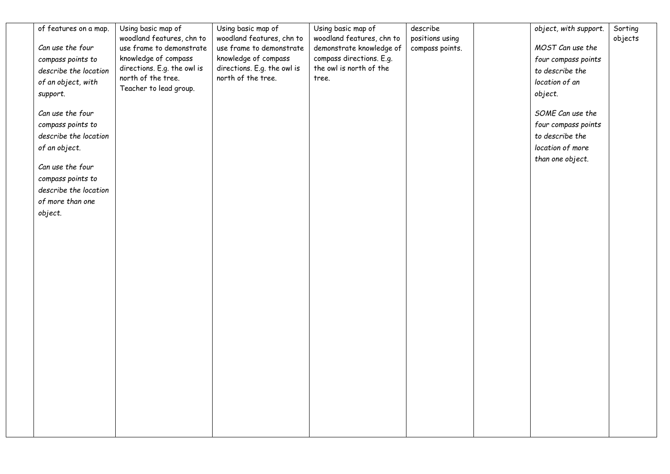| of features on a map. | Using basic map of                                | Using basic map of                                  | Using basic map of                                  | describe        | object, with support. | Sorting |
|-----------------------|---------------------------------------------------|-----------------------------------------------------|-----------------------------------------------------|-----------------|-----------------------|---------|
|                       | woodland features, chn to                         | woodland features, chn to                           | woodland features, chn to                           | positions using |                       | objects |
| Can use the four      | use frame to demonstrate                          | use frame to demonstrate                            | demonstrate knowledge of                            | compass points. | MOST Can use the      |         |
| compass points to     | knowledge of compass                              | knowledge of compass<br>directions. E.g. the owl is | compass directions. E.g.<br>the owl is north of the |                 | four compass points   |         |
| describe the location | directions. E.g. the owl is<br>north of the tree. | north of the tree.                                  | tree.                                               |                 | to describe the       |         |
| of an object, with    | Teacher to lead group.                            |                                                     |                                                     |                 | location of an        |         |
| support.              |                                                   |                                                     |                                                     |                 | object.               |         |
| Can use the four      |                                                   |                                                     |                                                     |                 | SOME Can use the      |         |
| compass points to     |                                                   |                                                     |                                                     |                 | four compass points   |         |
| describe the location |                                                   |                                                     |                                                     |                 | to describe the       |         |
| of an object.         |                                                   |                                                     |                                                     |                 | location of more      |         |
|                       |                                                   |                                                     |                                                     |                 | than one object.      |         |
| Can use the four      |                                                   |                                                     |                                                     |                 |                       |         |
| compass points to     |                                                   |                                                     |                                                     |                 |                       |         |
| describe the location |                                                   |                                                     |                                                     |                 |                       |         |
| of more than one      |                                                   |                                                     |                                                     |                 |                       |         |
| object.               |                                                   |                                                     |                                                     |                 |                       |         |
|                       |                                                   |                                                     |                                                     |                 |                       |         |
|                       |                                                   |                                                     |                                                     |                 |                       |         |
|                       |                                                   |                                                     |                                                     |                 |                       |         |
|                       |                                                   |                                                     |                                                     |                 |                       |         |
|                       |                                                   |                                                     |                                                     |                 |                       |         |
|                       |                                                   |                                                     |                                                     |                 |                       |         |
|                       |                                                   |                                                     |                                                     |                 |                       |         |
|                       |                                                   |                                                     |                                                     |                 |                       |         |
|                       |                                                   |                                                     |                                                     |                 |                       |         |
|                       |                                                   |                                                     |                                                     |                 |                       |         |
|                       |                                                   |                                                     |                                                     |                 |                       |         |
|                       |                                                   |                                                     |                                                     |                 |                       |         |
|                       |                                                   |                                                     |                                                     |                 |                       |         |
|                       |                                                   |                                                     |                                                     |                 |                       |         |
|                       |                                                   |                                                     |                                                     |                 |                       |         |
|                       |                                                   |                                                     |                                                     |                 |                       |         |
|                       |                                                   |                                                     |                                                     |                 |                       |         |
|                       |                                                   |                                                     |                                                     |                 |                       |         |
|                       |                                                   |                                                     |                                                     |                 |                       |         |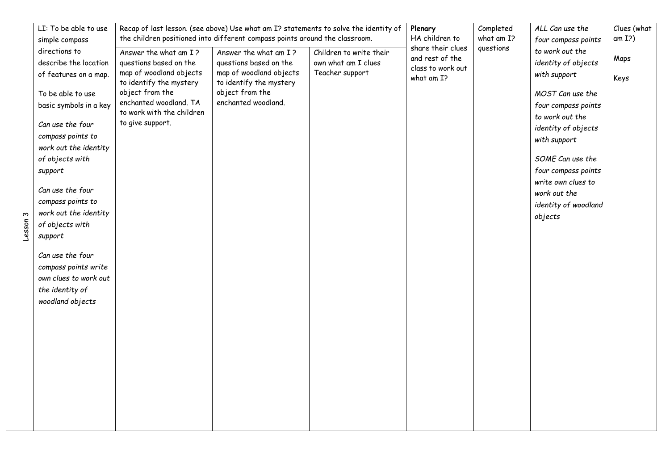| LI: To be able to use                      |                                                     | Recap of last lesson. (see above) Use what am I? statements to solve the identity of |                         | Plenary<br>HA children to | Completed<br>what am I? | ALL Can use the      | Clues (what<br>am I?) |
|--------------------------------------------|-----------------------------------------------------|--------------------------------------------------------------------------------------|-------------------------|---------------------------|-------------------------|----------------------|-----------------------|
| simple compass                             |                                                     | the children positioned into different compass points around the classroom.          |                         | share their clues         | questions               | four compass points  |                       |
| directions to                              | Answer the what am I?                               | Answer the what am I?                                                                | Children to write their | and rest of the           |                         | to work out the      | Maps                  |
| describe the location                      | questions based on the                              | questions based on the                                                               | own what am I clues     | class to work out         |                         | identity of objects  |                       |
| of features on a map.                      | map of woodland objects<br>to identify the mystery  | map of woodland objects<br>to identify the mystery                                   | Teacher support         | what am I?                |                         | with support         | Keys                  |
| To be able to use                          | object from the                                     | object from the                                                                      |                         |                           |                         | MOST Can use the     |                       |
| basic symbols in a key                     | enchanted woodland. TA<br>to work with the children | enchanted woodland.                                                                  |                         |                           |                         | four compass points  |                       |
| Can use the four                           | to give support.                                    |                                                                                      |                         |                           |                         | to work out the      |                       |
|                                            |                                                     |                                                                                      |                         |                           |                         | identity of objects  |                       |
| compass points to<br>work out the identity |                                                     |                                                                                      |                         |                           |                         | with support         |                       |
| of objects with                            |                                                     |                                                                                      |                         |                           |                         | SOME Can use the     |                       |
| support                                    |                                                     |                                                                                      |                         |                           |                         | four compass points  |                       |
|                                            |                                                     |                                                                                      |                         |                           |                         | write own clues to   |                       |
| Can use the four                           |                                                     |                                                                                      |                         |                           |                         | work out the         |                       |
| compass points to                          |                                                     |                                                                                      |                         |                           |                         | identity of woodland |                       |
| work out the identity                      |                                                     |                                                                                      |                         |                           |                         | objects              |                       |
| of objects with                            |                                                     |                                                                                      |                         |                           |                         |                      |                       |
| support                                    |                                                     |                                                                                      |                         |                           |                         |                      |                       |
| Can use the four                           |                                                     |                                                                                      |                         |                           |                         |                      |                       |
| compass points write                       |                                                     |                                                                                      |                         |                           |                         |                      |                       |
| own clues to work out                      |                                                     |                                                                                      |                         |                           |                         |                      |                       |
| the identity of                            |                                                     |                                                                                      |                         |                           |                         |                      |                       |
| woodland objects                           |                                                     |                                                                                      |                         |                           |                         |                      |                       |
|                                            |                                                     |                                                                                      |                         |                           |                         |                      |                       |
|                                            |                                                     |                                                                                      |                         |                           |                         |                      |                       |
|                                            |                                                     |                                                                                      |                         |                           |                         |                      |                       |
|                                            |                                                     |                                                                                      |                         |                           |                         |                      |                       |
|                                            |                                                     |                                                                                      |                         |                           |                         |                      |                       |
|                                            |                                                     |                                                                                      |                         |                           |                         |                      |                       |
|                                            |                                                     |                                                                                      |                         |                           |                         |                      |                       |
|                                            |                                                     |                                                                                      |                         |                           |                         |                      |                       |
|                                            |                                                     |                                                                                      |                         |                           |                         |                      |                       |
|                                            |                                                     |                                                                                      |                         |                           |                         |                      |                       |
|                                            |                                                     |                                                                                      |                         |                           |                         |                      |                       |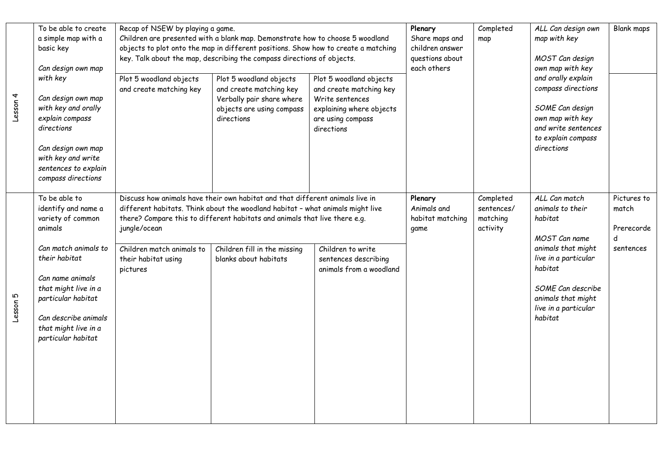| Lesson 4 | To be able to create<br>a simple map with a<br>basic key<br>Can design own map<br>with key<br>Can design own map<br>with key and orally<br>explain compass<br>directions<br>Can design own map<br>with key and write<br>sentences to explain | Recap of NSEW by playing a game.<br>Plot 5 woodland objects<br>and create matching key | Children are presented with a blank map. Demonstrate how to choose 5 woodland<br>objects to plot onto the map in different positions. Show how to create a matching<br>key. Talk about the map, describing the compass directions of objects.<br>Plot 5 woodland objects<br>and create matching key<br>Verbally pair share where<br>objects are using compass<br>directions | Plot 5 woodland objects<br>and create matching key<br>Write sentences<br>explaining where objects<br>are using compass<br>directions | Plenary<br>Share maps and<br>children answer<br>questions about<br>each others | Completed<br>map                                | ALL Can design own<br>map with key<br>MOST Can design<br>own map with key<br>and orally explain<br>compass directions<br>SOME Can design<br>own map with key<br>and write sentences<br>to explain compass<br>directions | <b>Blank maps</b>                       |
|----------|----------------------------------------------------------------------------------------------------------------------------------------------------------------------------------------------------------------------------------------------|----------------------------------------------------------------------------------------|-----------------------------------------------------------------------------------------------------------------------------------------------------------------------------------------------------------------------------------------------------------------------------------------------------------------------------------------------------------------------------|--------------------------------------------------------------------------------------------------------------------------------------|--------------------------------------------------------------------------------|-------------------------------------------------|-------------------------------------------------------------------------------------------------------------------------------------------------------------------------------------------------------------------------|-----------------------------------------|
|          | compass directions<br>To be able to<br>identify and name a<br>variety of common<br>animals                                                                                                                                                   | jungle/ocean                                                                           | Discuss how animals have their own habitat and that different animals live in<br>Plenary<br>different habitats. Think about the woodland habitat - what animals might live<br>there? Compare this to different habitats and animals that live there e.g.                                                                                                                    |                                                                                                                                      |                                                                                | Completed<br>sentences/<br>matching<br>activity | ALL Can match<br>animals to their<br>habitat<br>MOST Can name                                                                                                                                                           | Pictures to<br>match<br>Prerecorde<br>d |
| Lesson 5 | Can match animals to<br>their habitat<br>Can name animals<br>that might live in a<br>particular habitat<br>Can describe animals<br>that might live in a<br>particular habitat                                                                | Children match animals to<br>their habitat using<br>pictures                           | Children fill in the missing<br>blanks about habitats                                                                                                                                                                                                                                                                                                                       | Children to write<br>sentences describing<br>animals from a woodland                                                                 |                                                                                |                                                 | animals that might<br>live in a particular<br>habitat<br>SOME Can describe<br>animals that might<br>live in a particular<br>habitat                                                                                     | sentences                               |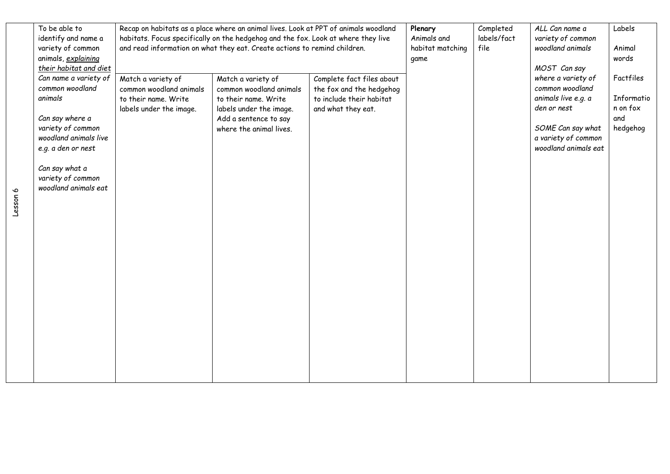| To be able to          |                         | Recap on habitats as a place where an animal lives. Look at PPT of animals woodland |                           | Plenary          | Completed   | ALL Can name a       | Labels     |
|------------------------|-------------------------|-------------------------------------------------------------------------------------|---------------------------|------------------|-------------|----------------------|------------|
| identify and name a    |                         | habitats. Focus specifically on the hedgehog and the fox. Look at where they live   |                           | Animals and      | labels/fact | variety of common    |            |
| variety of common      |                         | and read information on what they eat. Create actions to remind children.           |                           | habitat matching | file        | woodland animals     | Animal     |
| animals, explaining    |                         |                                                                                     |                           | game             |             |                      | words      |
| their habitat and diet |                         |                                                                                     |                           |                  |             | MOST Can say         |            |
| Can name a variety of  | Match a variety of      | Match a variety of                                                                  | Complete fact files about |                  |             | where a variety of   | Factfiles  |
| common woodland        | common woodland animals | common woodland animals                                                             | the fox and the hedgehog  |                  |             | common woodland      |            |
| animals                | to their name. Write    | to their name. Write                                                                | to include their habitat  |                  |             | animals live e.g. a  | Informatio |
|                        | labels under the image. | labels under the image.                                                             | and what they eat.        |                  |             | den or nest          | n on fox   |
| Can say where a        |                         | Add a sentence to say                                                               |                           |                  |             |                      | and        |
| variety of common      |                         | where the animal lives.                                                             |                           |                  |             | SOME Can say what    | hedgehog   |
| woodland animals live  |                         |                                                                                     |                           |                  |             | a variety of common  |            |
| e.g. a den or nest     |                         |                                                                                     |                           |                  |             | woodland animals eat |            |
|                        |                         |                                                                                     |                           |                  |             |                      |            |
| Can say what a         |                         |                                                                                     |                           |                  |             |                      |            |
| variety of common      |                         |                                                                                     |                           |                  |             |                      |            |
| woodland animals eat   |                         |                                                                                     |                           |                  |             |                      |            |
|                        |                         |                                                                                     |                           |                  |             |                      |            |
|                        |                         |                                                                                     |                           |                  |             |                      |            |
|                        |                         |                                                                                     |                           |                  |             |                      |            |
|                        |                         |                                                                                     |                           |                  |             |                      |            |
|                        |                         |                                                                                     |                           |                  |             |                      |            |
|                        |                         |                                                                                     |                           |                  |             |                      |            |
|                        |                         |                                                                                     |                           |                  |             |                      |            |
|                        |                         |                                                                                     |                           |                  |             |                      |            |
|                        |                         |                                                                                     |                           |                  |             |                      |            |
|                        |                         |                                                                                     |                           |                  |             |                      |            |
|                        |                         |                                                                                     |                           |                  |             |                      |            |
|                        |                         |                                                                                     |                           |                  |             |                      |            |
|                        |                         |                                                                                     |                           |                  |             |                      |            |
|                        |                         |                                                                                     |                           |                  |             |                      |            |
|                        |                         |                                                                                     |                           |                  |             |                      |            |
|                        |                         |                                                                                     |                           |                  |             |                      |            |
|                        |                         |                                                                                     |                           |                  |             |                      |            |
|                        |                         |                                                                                     |                           |                  |             |                      |            |
|                        |                         |                                                                                     |                           |                  |             |                      |            |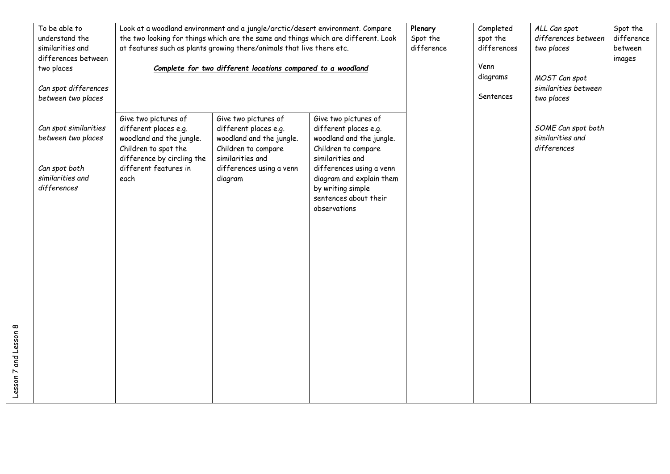| To be able to<br>understand the<br>similarities and<br>differences between<br>two places<br>Can spot differences<br>between two places | Look at a woodland environment and a jungle/arctic/desert environment. Compare<br>the two looking for things which are the same and things which are different. Look<br>at features such as plants growing there/animals that live there etc.<br>Complete for two different locations compared to a woodland |                                                                                                                                                             |                                                                                                                                                                                                                                            | Plenary<br>Spot the<br>difference | Completed<br>spot the<br>differences<br>Venn<br>diagrams<br>Sentences | ALL Can spot<br>differences between<br>two places<br>MOST Can spot<br>similarities between<br>two places | Spot the<br>difference<br>between<br>images |
|----------------------------------------------------------------------------------------------------------------------------------------|--------------------------------------------------------------------------------------------------------------------------------------------------------------------------------------------------------------------------------------------------------------------------------------------------------------|-------------------------------------------------------------------------------------------------------------------------------------------------------------|--------------------------------------------------------------------------------------------------------------------------------------------------------------------------------------------------------------------------------------------|-----------------------------------|-----------------------------------------------------------------------|----------------------------------------------------------------------------------------------------------|---------------------------------------------|
| Can spot similarities<br>between two places<br>Can spot both<br>similarities and<br>differences                                        | Give two pictures of<br>different places e.g.<br>woodland and the jungle.<br>Children to spot the<br>difference by circling the<br>different features in<br>each                                                                                                                                             | Give two pictures of<br>different places e.g.<br>woodland and the jungle.<br>Children to compare<br>similarities and<br>differences using a venn<br>diagram | Give two pictures of<br>different places e.g.<br>woodland and the jungle.<br>Children to compare<br>similarities and<br>differences using a venn<br>diagram and explain them<br>by writing simple<br>sentences about their<br>observations |                                   |                                                                       | SOME Can spot both<br>similarities and<br>differences                                                    |                                             |

Lesson 7 and Lesson 8

Lesson 7 and Lesson 8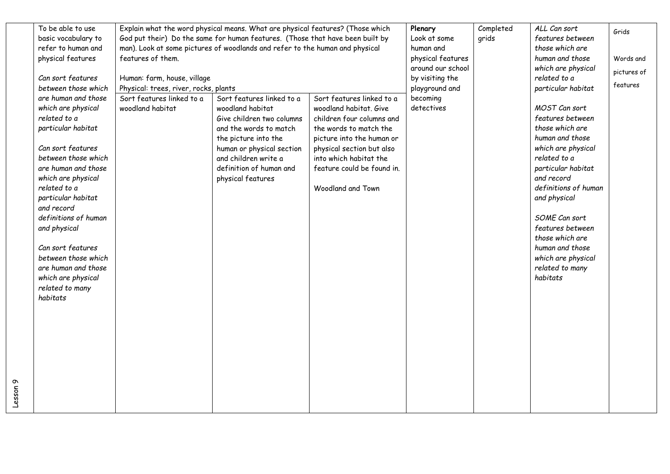| To be able to use    |                                       | Explain what the word physical means. What are physical features? (Those which |                            | Plenary           | Completed | ALL Can sort         | Grids       |
|----------------------|---------------------------------------|--------------------------------------------------------------------------------|----------------------------|-------------------|-----------|----------------------|-------------|
| basic vocabulary to  |                                       | God put their) Do the same for human features. (Those that have been built by  |                            | Look at some      | grids     | features between     |             |
| refer to human and   |                                       | man). Look at some pictures of woodlands and refer to the human and physical   |                            | human and         |           | those which are      |             |
| physical features    | features of them.                     |                                                                                |                            | physical features |           | human and those      | Words and   |
|                      |                                       |                                                                                |                            | around our school |           | which are physical   | pictures of |
| Can sort features    | Human: farm, house, village           |                                                                                |                            | by visiting the   |           | related to a         |             |
| between those which  | Physical: trees, river, rocks, plants |                                                                                |                            | playground and    |           | particular habitat   | features    |
| are human and those  | Sort features linked to a             | Sort features linked to a                                                      | Sort features linked to a  | becoming          |           |                      |             |
| which are physical   | woodland habitat                      | woodland habitat                                                               | woodland habitat, Give     | detectives        |           | MOST Can sort        |             |
| related to a         |                                       | Give children two columns                                                      | children four columns and  |                   |           | features between     |             |
| particular habitat   |                                       | and the words to match                                                         | the words to match the     |                   |           | those which are      |             |
|                      |                                       | the picture into the                                                           | picture into the human or  |                   |           | human and those      |             |
| Can sort features    |                                       | human or physical section                                                      | physical section but also  |                   |           | which are physical   |             |
| between those which  |                                       | and children write a                                                           | into which habitat the     |                   |           | related to a         |             |
| are human and those  |                                       | definition of human and                                                        | feature could be found in. |                   |           | particular habitat   |             |
| which are physical   |                                       | physical features                                                              |                            |                   |           | and record           |             |
| related to a         |                                       |                                                                                | Woodland and Town          |                   |           | definitions of human |             |
| particular habitat   |                                       |                                                                                |                            |                   |           | and physical         |             |
| and record           |                                       |                                                                                |                            |                   |           |                      |             |
| definitions of human |                                       |                                                                                |                            |                   |           | SOME Can sort        |             |
| and physical         |                                       |                                                                                |                            |                   |           | features between     |             |
|                      |                                       |                                                                                |                            |                   |           | those which are      |             |
| Can sort features    |                                       |                                                                                |                            |                   |           | human and those      |             |
| between those which  |                                       |                                                                                |                            |                   |           | which are physical   |             |
| are human and those  |                                       |                                                                                |                            |                   |           | related to many      |             |
| which are physical   |                                       |                                                                                |                            |                   |           | habitats             |             |
| related to many      |                                       |                                                                                |                            |                   |           |                      |             |
| habitats             |                                       |                                                                                |                            |                   |           |                      |             |
|                      |                                       |                                                                                |                            |                   |           |                      |             |
|                      |                                       |                                                                                |                            |                   |           |                      |             |
|                      |                                       |                                                                                |                            |                   |           |                      |             |
|                      |                                       |                                                                                |                            |                   |           |                      |             |
|                      |                                       |                                                                                |                            |                   |           |                      |             |
|                      |                                       |                                                                                |                            |                   |           |                      |             |
|                      |                                       |                                                                                |                            |                   |           |                      |             |
|                      |                                       |                                                                                |                            |                   |           |                      |             |
|                      |                                       |                                                                                |                            |                   |           |                      |             |
|                      |                                       |                                                                                |                            |                   |           |                      |             |
|                      |                                       |                                                                                |                            |                   |           |                      |             |

Lesson 9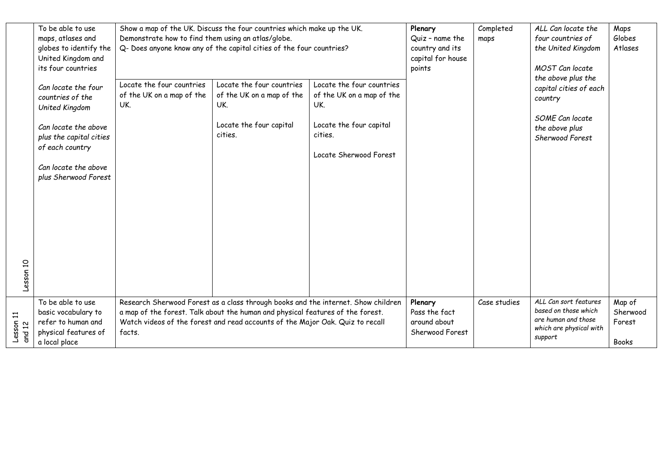|           | To be able to use       |                                                    | Show a map of the UK. Discuss the four countries which make up the UK.            |                           | Plenary           | Completed    | ALL Can locate the                            | Maps         |
|-----------|-------------------------|----------------------------------------------------|-----------------------------------------------------------------------------------|---------------------------|-------------------|--------------|-----------------------------------------------|--------------|
|           | maps, atlases and       | Demonstrate how to find them using an atlas/globe. |                                                                                   |                           | Quiz - name the   | maps         | four countries of                             | Globes       |
|           | globes to identify the  |                                                    | Q- Does anyone know any of the capital cities of the four countries?              |                           | country and its   |              | the United Kingdom                            | Atlases      |
|           | United Kingdom and      |                                                    |                                                                                   |                           | capital for house |              |                                               |              |
|           | its four countries      |                                                    |                                                                                   |                           | points            |              | MOST Can locate                               |              |
|           |                         |                                                    |                                                                                   |                           |                   |              | the above plus the                            |              |
|           | Can locate the four     | Locate the four countries                          | Locate the four countries                                                         | Locate the four countries |                   |              | capital cities of each                        |              |
|           | countries of the        | of the UK on a map of the                          | of the UK on a map of the                                                         | of the UK on a map of the |                   |              |                                               |              |
|           |                         | UK.                                                | UK.                                                                               | UK.                       |                   |              | country                                       |              |
|           | United Kingdom          |                                                    |                                                                                   |                           |                   |              |                                               |              |
|           |                         |                                                    | Locate the four capital                                                           | Locate the four capital   |                   |              | SOME Can locate                               |              |
|           | Can locate the above    |                                                    |                                                                                   |                           |                   |              | the above plus                                |              |
|           | plus the capital cities |                                                    | cities.                                                                           | cities.                   |                   |              | Sherwood Forest                               |              |
|           | of each country         |                                                    |                                                                                   |                           |                   |              |                                               |              |
|           |                         |                                                    |                                                                                   | Locate Sherwood Forest    |                   |              |                                               |              |
|           | Can locate the above    |                                                    |                                                                                   |                           |                   |              |                                               |              |
|           | plus Sherwood Forest    |                                                    |                                                                                   |                           |                   |              |                                               |              |
|           |                         |                                                    |                                                                                   |                           |                   |              |                                               |              |
|           |                         |                                                    |                                                                                   |                           |                   |              |                                               |              |
|           |                         |                                                    |                                                                                   |                           |                   |              |                                               |              |
|           |                         |                                                    |                                                                                   |                           |                   |              |                                               |              |
|           |                         |                                                    |                                                                                   |                           |                   |              |                                               |              |
|           |                         |                                                    |                                                                                   |                           |                   |              |                                               |              |
|           |                         |                                                    |                                                                                   |                           |                   |              |                                               |              |
|           |                         |                                                    |                                                                                   |                           |                   |              |                                               |              |
|           |                         |                                                    |                                                                                   |                           |                   |              |                                               |              |
|           |                         |                                                    |                                                                                   |                           |                   |              |                                               |              |
|           |                         |                                                    |                                                                                   |                           |                   |              |                                               |              |
| Lesson 10 |                         |                                                    |                                                                                   |                           |                   |              |                                               |              |
|           |                         |                                                    |                                                                                   |                           |                   |              |                                               |              |
|           | To be able to use       |                                                    | Research Sherwood Forest as a class through books and the internet. Show children |                           | Plenary           | Case studies | ALL Can sort features<br>based on those which | Map of       |
|           | basic vocabulary to     |                                                    | a map of the forest. Talk about the human and physical features of the forest.    |                           | Pass the fact     |              | are human and those                           | Sherwood     |
| Lesson 11 | refer to human and      |                                                    | Watch videos of the forest and read accounts of the Major Oak. Quiz to recall     |                           | around about      |              | which are physical with                       | Forest       |
| and 12    | physical features of    | facts.                                             |                                                                                   | Sherwood Forest           |                   | support      |                                               |              |
|           | a local place           |                                                    |                                                                                   |                           |                   |              |                                               | <b>Books</b> |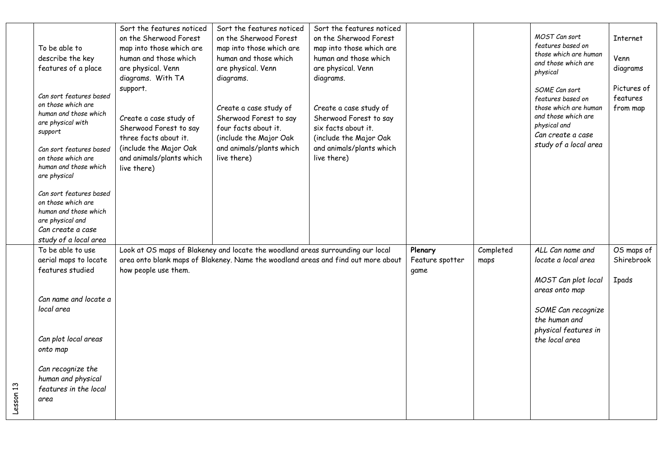| To be able to<br>describe the key<br>features of a place                                                                                                                                         | Sort the features noticed<br>on the Sherwood Forest<br>map into those which are<br>human and those which<br>are physical. Venn<br>diagrams. With TA        | Sort the features noticed<br>on the Sherwood Forest<br>map into those which are<br>human and those which<br>are physical. Venn<br>diagrams.                          | Sort the features noticed<br>on the Sherwood Forest<br>map into those which are<br>human and those which<br>are physical. Venn<br>diagrams.  |                                    |                   | MOST Can sort<br>features based on<br>those which are human<br>and those which are<br>physical                                                   | <b>Internet</b><br>Venn<br>diagrams      |
|--------------------------------------------------------------------------------------------------------------------------------------------------------------------------------------------------|------------------------------------------------------------------------------------------------------------------------------------------------------------|----------------------------------------------------------------------------------------------------------------------------------------------------------------------|----------------------------------------------------------------------------------------------------------------------------------------------|------------------------------------|-------------------|--------------------------------------------------------------------------------------------------------------------------------------------------|------------------------------------------|
| Can sort features based<br>on those which are<br>human and those which<br>are physical with<br>support<br>Can sort features based<br>on those which are<br>human and those which<br>are physical | support.<br>Create a case study of<br>Sherwood Forest to say<br>three facts about it.<br>(include the Major Oak<br>and animals/plants which<br>live there) | Create a case study of<br>Sherwood Forest to say<br>four facts about it.<br>(include the Major Oak<br>and animals/plants which<br>live there)                        | Create a case study of<br>Sherwood Forest to say<br>six facts about it.<br>(include the Major Oak<br>and animals/plants which<br>live there) |                                    |                   | SOME Can sort<br>features based on<br>those which are human<br>and those which are<br>physical and<br>Can create a case<br>study of a local area | Pictures of<br>features<br>from map      |
| Can sort features based<br>on those which are<br>human and those which<br>are physical and<br>Can create a case<br>study of a local area                                                         |                                                                                                                                                            |                                                                                                                                                                      |                                                                                                                                              |                                    |                   |                                                                                                                                                  |                                          |
| To be able to use<br>aerial maps to locate<br>features studied                                                                                                                                   | how people use them.                                                                                                                                       | Look at OS maps of Blakeney and locate the woodland areas surrounding our local<br>area onto blank maps of Blakeney. Name the woodland areas and find out more about |                                                                                                                                              | Plenary<br>Feature spotter<br>game | Completed<br>maps | ALL Can name and<br>locate a local area<br>MOST Can plot local                                                                                   | OS maps of<br>Shirebrook<br><b>Ipads</b> |
| Can name and locate a<br>local area                                                                                                                                                              |                                                                                                                                                            |                                                                                                                                                                      |                                                                                                                                              |                                    |                   | areas onto map<br>SOME Can recognize<br>the human and<br>physical features in                                                                    |                                          |
| Can plot local areas<br>onto map<br>Can recognize the<br>human and physical                                                                                                                      |                                                                                                                                                            |                                                                                                                                                                      |                                                                                                                                              |                                    |                   | the local area                                                                                                                                   |                                          |
| features in the local<br>area                                                                                                                                                                    |                                                                                                                                                            |                                                                                                                                                                      |                                                                                                                                              |                                    |                   |                                                                                                                                                  |                                          |

Lesson 13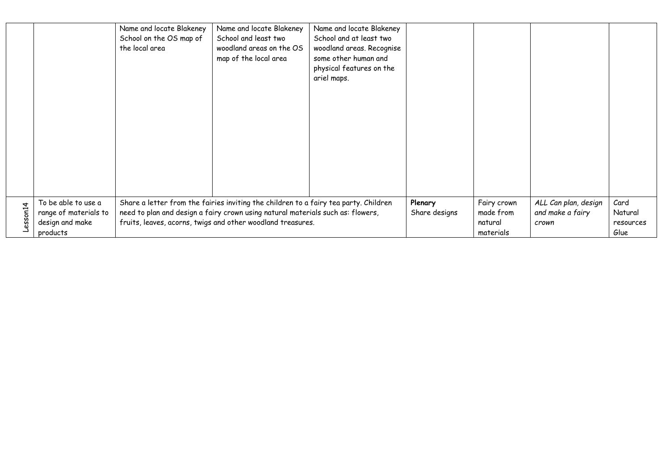|         |                                                                 | Name and locate Blakeney<br>School on the OS map of<br>the local area                                                                                                                                                                  | Name and locate Blakeney<br>School and least two<br>woodland areas on the OS<br>map of the local area | Name and locate Blakeney<br>School and at least two<br>woodland areas. Recognise<br>some other human and<br>physical features on the<br>ariel maps. |                          |                                     |                                                   |                              |
|---------|-----------------------------------------------------------------|----------------------------------------------------------------------------------------------------------------------------------------------------------------------------------------------------------------------------------------|-------------------------------------------------------------------------------------------------------|-----------------------------------------------------------------------------------------------------------------------------------------------------|--------------------------|-------------------------------------|---------------------------------------------------|------------------------------|
| esson14 | To be able to use a<br>range of materials to<br>design and make | Share a letter from the fairies inviting the children to a fairy tea party. Children<br>need to plan and design a fairy crown using natural materials such as: flowers,<br>fruits, leaves, acorns, twigs and other woodland treasures. |                                                                                                       |                                                                                                                                                     | Plenary<br>Share designs | Fairy crown<br>made from<br>natural | ALL Can plan, design<br>and make a fairy<br>crown | Card<br>Natural<br>resources |
|         | products                                                        |                                                                                                                                                                                                                                        |                                                                                                       |                                                                                                                                                     |                          | materials                           |                                                   | Glue                         |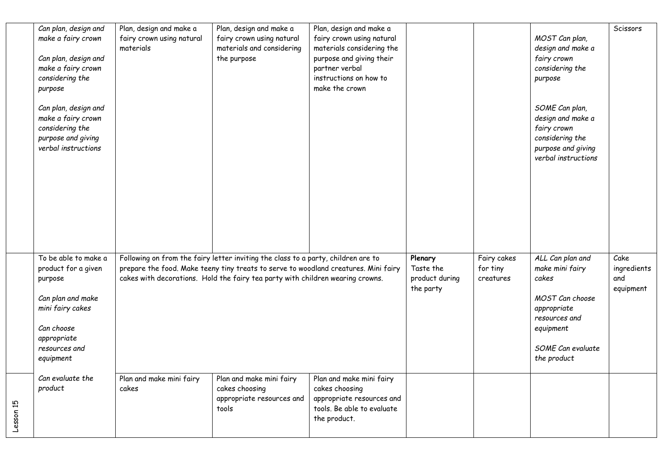|           | Can plan, design and<br>make a fairy crown<br>Can plan, design and<br>make a fairy crown<br>considering the                                                | Plan, design and make a<br>fairy crown using natural<br>materials | Plan, design and make a<br>fairy crown using natural<br>materials and considering<br>the purpose                                                                                                                                                           | Plan, design and make a<br>fairy crown using natural<br>materials considering the<br>purpose and giving their<br>partner verbal<br>instructions on how to<br>make the crown |                                                     |                                      | MOST Can plan,<br>design and make a<br>fairy crown<br>considering the<br>purpose                                                                 | Scissors                                |
|-----------|------------------------------------------------------------------------------------------------------------------------------------------------------------|-------------------------------------------------------------------|------------------------------------------------------------------------------------------------------------------------------------------------------------------------------------------------------------------------------------------------------------|-----------------------------------------------------------------------------------------------------------------------------------------------------------------------------|-----------------------------------------------------|--------------------------------------|--------------------------------------------------------------------------------------------------------------------------------------------------|-----------------------------------------|
|           | purpose<br>Can plan, design and<br>make a fairy crown<br>considering the<br>purpose and giving<br>verbal instructions                                      |                                                                   |                                                                                                                                                                                                                                                            |                                                                                                                                                                             |                                                     |                                      | SOME Can plan,<br>design and make a<br>fairy crown<br>considering the<br>purpose and giving<br>verbal instructions                               |                                         |
|           | To be able to make a<br>product for a given<br>purpose<br>Can plan and make<br>mini fairy cakes<br>Can choose<br>appropriate<br>resources and<br>equipment |                                                                   | Following on from the fairy letter inviting the class to a party, children are to<br>prepare the food. Make teeny tiny treats to serve to woodland creatures. Mini fairy<br>cakes with decorations. Hold the fairy tea party with children wearing crowns. |                                                                                                                                                                             | Plenary<br>Taste the<br>product during<br>the party | Fairy cakes<br>for tiny<br>creatures | ALL Can plan and<br>make mini fairy<br>cakes<br>MOST Can choose<br>appropriate<br>resources and<br>equipment<br>SOME Can evaluate<br>the product | Cake<br>ingredients<br>and<br>equipment |
| Lesson 15 | Can evaluate the<br>product                                                                                                                                | Plan and make mini fairy<br>cakes                                 | Plan and make mini fairy<br>cakes choosing<br>appropriate resources and<br>tools                                                                                                                                                                           | Plan and make mini fairy<br>cakes choosing<br>appropriate resources and<br>tools. Be able to evaluate<br>the product.                                                       |                                                     |                                      |                                                                                                                                                  |                                         |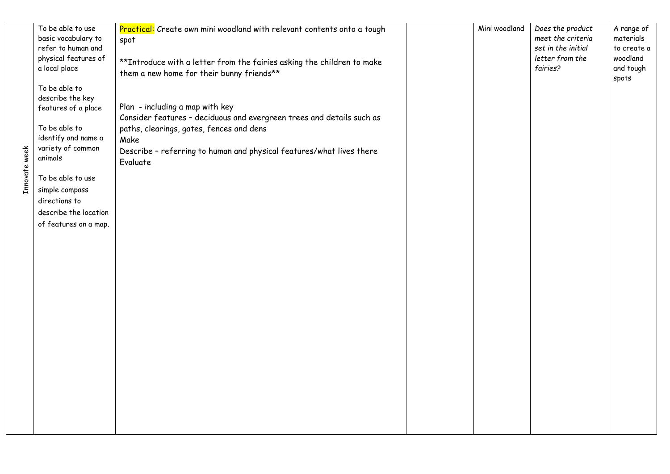|               | To be able to use<br>basic vocabulary to<br>refer to human and<br>physical features of<br>a local place                                                                                                                                    | Practical: Create own mini woodland with relevant contents onto a tough<br>spot<br>** Introduce with a letter from the fairies asking the children to make                                                                                                                                    | Mini woodland | Does the product<br>meet the criteria<br>set in the initial<br>letter from the<br>fairies? | A range of<br>materials<br>to create a<br>woodland<br>and tough |
|---------------|--------------------------------------------------------------------------------------------------------------------------------------------------------------------------------------------------------------------------------------------|-----------------------------------------------------------------------------------------------------------------------------------------------------------------------------------------------------------------------------------------------------------------------------------------------|---------------|--------------------------------------------------------------------------------------------|-----------------------------------------------------------------|
| Innovate week | To be able to<br>describe the key<br>features of a place<br>To be able to<br>identify and name a<br>variety of common<br>animals<br>To be able to use<br>simple compass<br>directions to<br>describe the location<br>of features on a map. | them a new home for their bunny friends**<br>Plan - including a map with key<br>Consider features - deciduous and evergreen trees and details such as<br>paths, clearings, gates, fences and dens<br>Make<br>Describe - referring to human and physical features/what lives there<br>Evaluate |               |                                                                                            | spots                                                           |
|               |                                                                                                                                                                                                                                            |                                                                                                                                                                                                                                                                                               |               |                                                                                            |                                                                 |